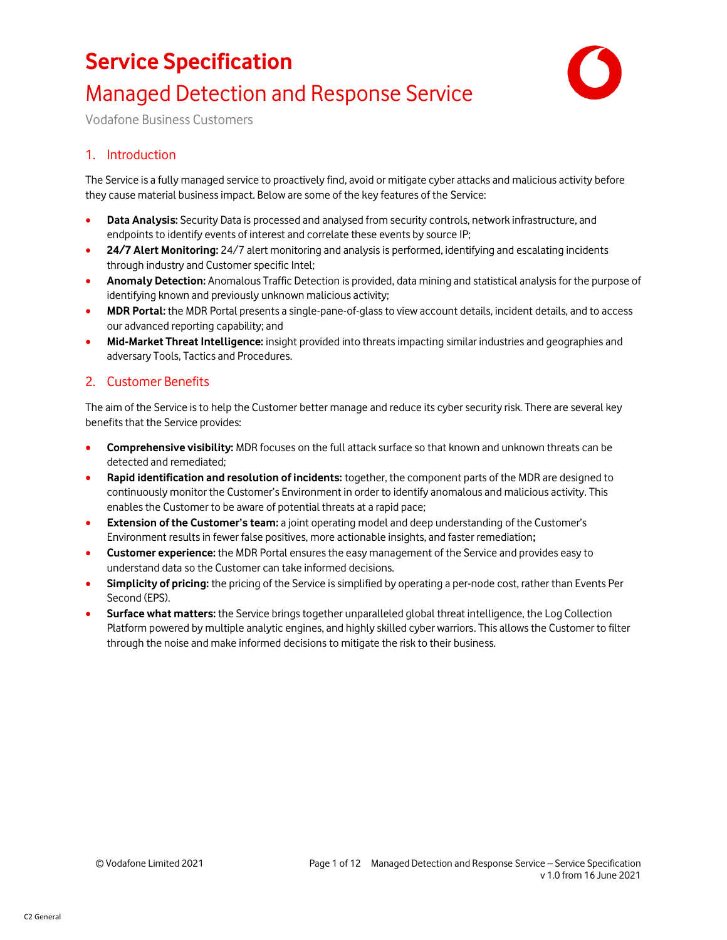

## Managed Detection and Response Service

Vodafone Business Customers

### 1. Introduction

The Service is a fully managed service to proactively find, avoid or mitigate cyber attacks and malicious activity before they cause material business impact. Below are some of the key features of the Service:

- **Data Analysis:** Security Data is processed and analysed from security controls, network infrastructure, and endpoints to identify events of interest and correlate these events by source IP;
- **24/7 Alert Monitoring:** 24/7 alert monitoring and analysis is performed, identifying and escalating incidents through industry and Customer specific Intel;
- **Anomaly Detection:** Anomalous Traffic Detection is provided, data mining and statistical analysis for the purpose of identifying known and previously unknown malicious activity;
- **MDR Portal:** the MDR Portal presents a single-pane-of-glass to view account details, incident details, and to access our advanced reporting capability; and
- **Mid-Market Threat Intelligence:** insight provided into threats impacting similar industries and geographies and adversary Tools, Tactics and Procedures.

#### 2. Customer Benefits

The aim of the Service is to help the Customer better manage and reduce its cyber security risk. There are several key benefits that the Service provides:

- **Comprehensive visibility:** MDR focuses on the full attack surface so that known and unknown threats can be detected and remediated;
- **Rapid identification and resolution of incidents:** together, the component parts of the MDR are designed to continuously monitor the Customer's Environment in order to identify anomalous and malicious activity. This enables the Customer to be aware of potential threats at a rapid pace;
- **Extension of the Customer's team:** a joint operating model and deep understanding of the Customer's Environment results in fewer false positives, more actionable insights, and faster remediation**;**
- **Customer experience:** the MDR Portal ensures the easy management of the Service and provides easy to understand data so the Customer can take informed decisions.
- **Simplicity of pricing:** the pricing of the Service is simplified by operating a per-node cost, rather than Events Per Second (EPS).
- **Surface what matters:** the Service bringstogether unparalleled global threat intelligence, the Log Collection Platform powered by multiple analytic engines, and highly skilled cyber warriors. This allows the Customer to filter through the noise and make informed decisions to mitigate the risk to their business.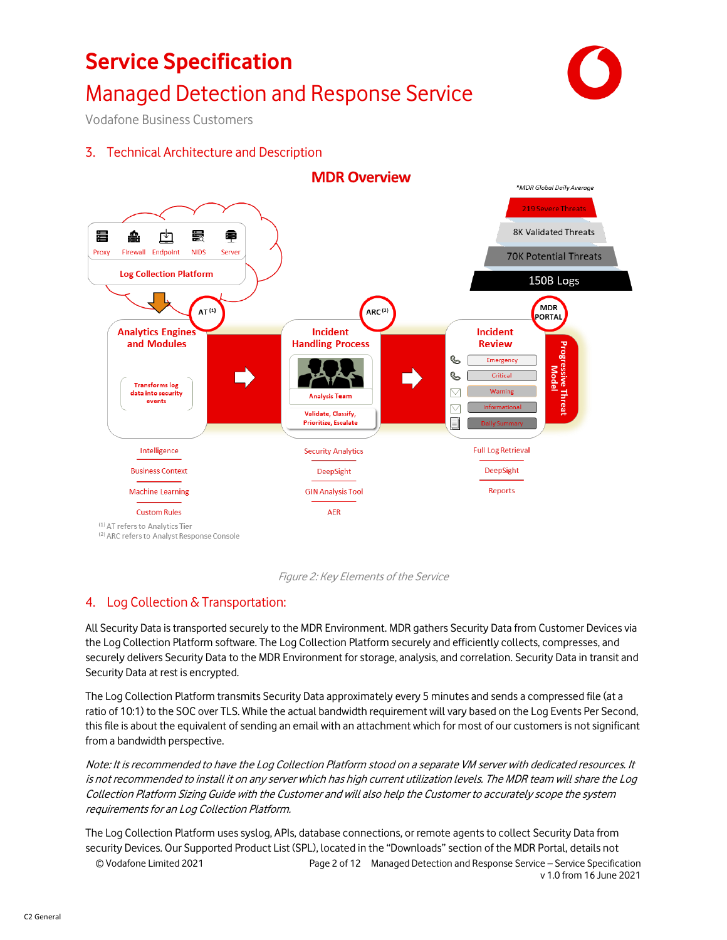## Managed Detection and Response Service



Vodafone Business Customers

### 3. Technical Architecture and Description





#### 4. Log Collection & Transportation:

All Security Data is transported securely to the MDR Environment. MDR gathers Security Data from Customer Devices via the Log Collection Platform software. The Log Collection Platform securely and efficiently collects, compresses, and securely delivers Security Data to the MDR Environment for storage, analysis, and correlation. Security Data in transit and Security Data at rest is encrypted.

The Log Collection Platform transmits Security Data approximately every 5 minutes and sends a compressed file (at a ratio of 10:1) to the SOC over TLS. While the actual bandwidth requirement will vary based on the Log Events Per Second, this file is about the equivalent of sending an email with an attachment which for most of our customers is not significant from a bandwidth perspective.

Note: It is recommended to have the Log Collection Platform stood on a separate VM server with dedicated resources. It is not recommended to install it on any server which has high current utilization levels. The MDR team will share the Log Collection Platform Sizing Guide with the Customer and will also help the Customer to accurately scope the system requirements for an Log Collection Platform.

© Vodafone Limited 2021 Page 2 of 12 Managed Detection and Response Service – Service Specification v 1.0 from 16 June 2021 The Log Collection Platform uses syslog, APIs, database connections, or remote agents to collect Security Data from security Devices. Our Supported Product List (SPL), located in the "Downloads" section of the MDR Portal, details not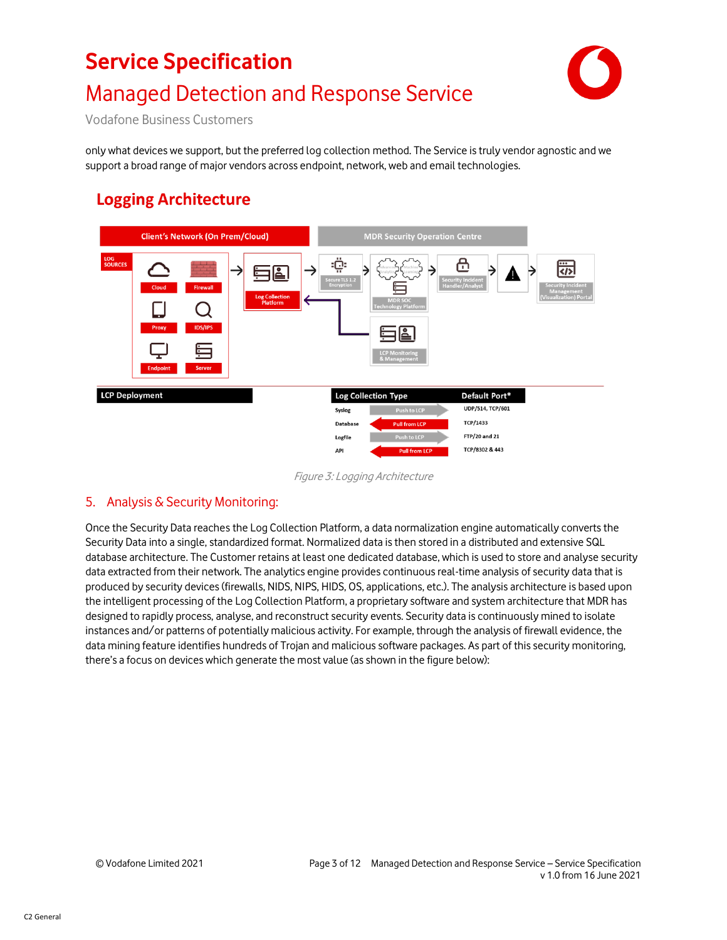# **Service Specification** Managed Detection and Response Service



Vodafone Business Customers

only what devices we support, but the preferred log collection method. The Service is truly vendor agnostic and we support a broad range of major vendors across endpoint, network, web and email technologies.

### **Logging Architecture**



Figure 3: Logging Architecture

### 5. Analysis & Security Monitoring:

Once the Security Data reaches the Log Collection Platform, a data normalization engine automatically converts the Security Data into a single, standardized format. Normalized data is then stored in a distributed and extensive SQL database architecture. The Customer retains at least one dedicated database, which is used to store and analyse security data extracted from their network. The analytics engine provides continuous real-time analysis of security data that is produced by security devices (firewalls, NIDS, NIPS, HIDS, OS, applications, etc.). The analysis architecture is based upon the intelligent processing of the Log Collection Platform, a proprietary software and system architecture that MDR has designed to rapidly process, analyse, and reconstruct security events. Security data is continuously mined to isolate instances and/or patterns of potentially malicious activity. For example, through the analysis of firewall evidence, the data mining feature identifies hundreds of Trojan and malicious software packages. As part of this security monitoring, there's a focus on devices which generate the most value (as shown in the figure below):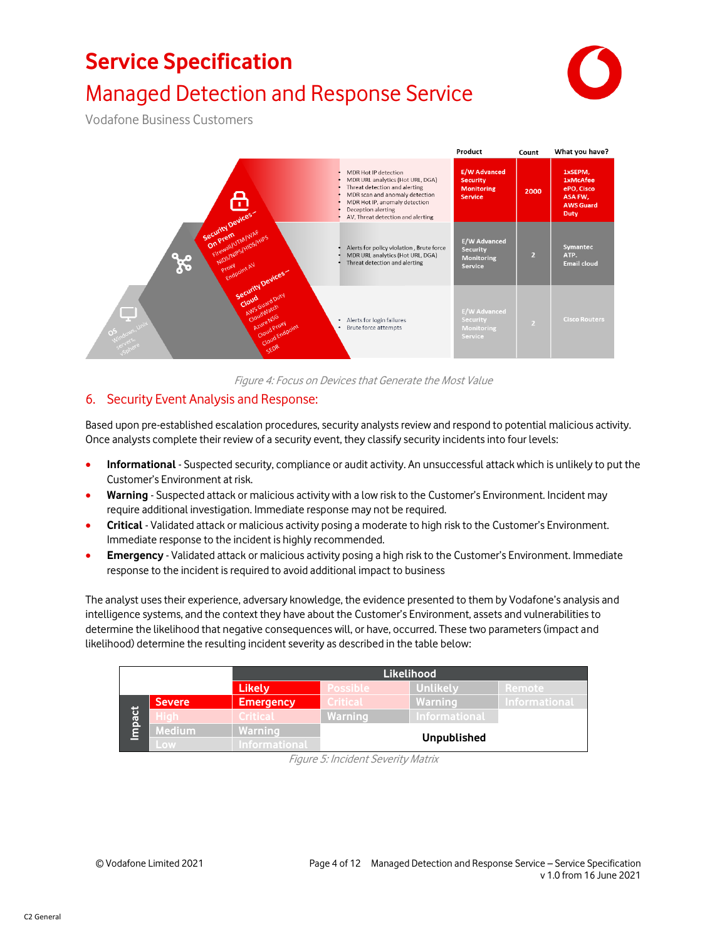

## Managed Detection and Response Service

Vodafone Business Customers



Figure 4: Focus on Devices that Generate the Most Value

### 6. Security Event Analysis and Response:

Based upon pre-established escalation procedures, security analysts review and respond to potential malicious activity. Once analysts complete their review of a security event, they classify security incidents into four levels:

- **Informational** Suspected security, compliance or audit activity. An unsuccessful attack which is unlikely to put the Customer's Environment at risk.
- **Warning** Suspected attack or malicious activity with a low risk to the Customer's Environment. Incident may require additional investigation. Immediate response may not be required.
- **Critical** Validated attack or malicious activity posing a moderate to high risk to the Customer's Environment. Immediate response to the incident is highly recommended.
- **Emergency** Validated attack or malicious activity posing a high risk to the Customer's Environment. Immediate response to the incident is required to avoid additional impact to business

The analyst uses their experience, adversary knowledge, the evidence presented to them by Vodafone's analysis and intelligence systems, and the context they have about the Customer's Environment, assets and vulnerabilities to determine the likelihood that negative consequences will, or have, occurred. These two parameters (impact and likelihood) determine the resulting incident severity as described in the table below:

|      |               | <b>Likelihood</b>    |                    |                 |                      |
|------|---------------|----------------------|--------------------|-----------------|----------------------|
|      |               | <b>Likely</b>        | <b>Possible</b>    | <b>Unlikely</b> | Remote               |
| pact | <b>Severe</b> | <b>Emergency</b>     | <b>Critical</b>    | Warning         | <b>Informational</b> |
|      |               | <b>Critical</b>      | Warning            | Informational   |                      |
|      | <b>Medium</b> | Warning              |                    |                 |                      |
|      | Low           | <b>Informational</b> | <b>Unpublished</b> |                 |                      |

Figure 5: Incident Severity Matrix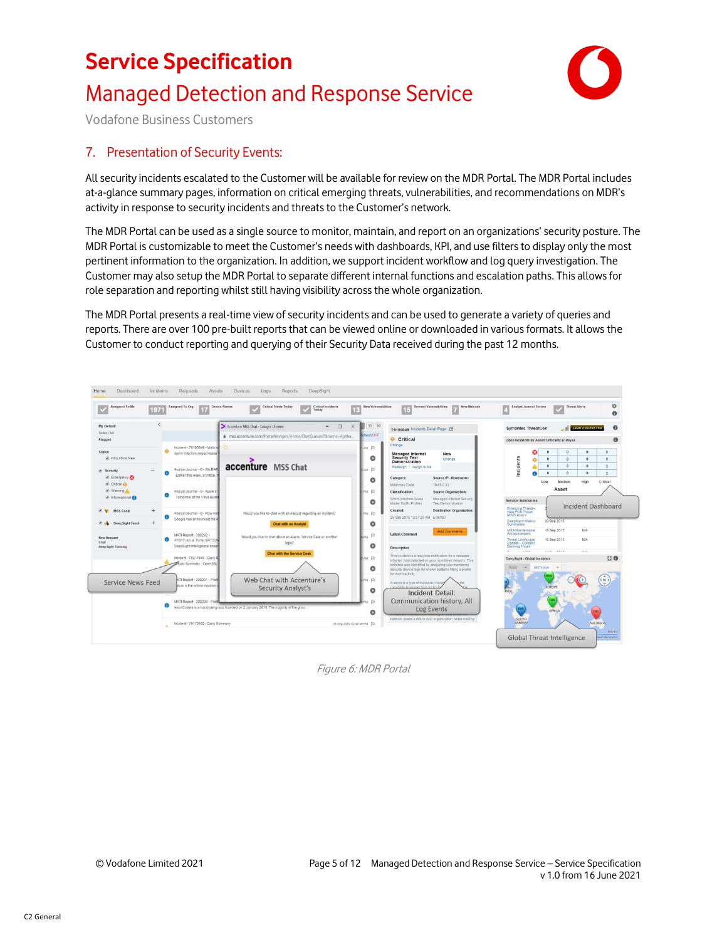



Vodafone Business Customers

#### 7. Presentation of Security Events:

All security incidents escalated to the Customer will be available for review on the MDR Portal. The MDR Portal includes at-a-glance summary pages, information on critical emerging threats, vulnerabilities, and recommendations on MDR's activity in response to security incidents and threats to the Customer's network.

The MDR Portal can be used as a single source to monitor, maintain, and report on an organizations' security posture. The MDR Portal is customizable to meet the Customer's needs with dashboards, KPI, and use filters to display only the most pertinent information to the organization. In addition, we support incident workflow and log query investigation. The Customer may also setup the MDR Portal to separate different internal functions and escalation paths. This allows for role separation and reporting whilst still having visibility across the whole organization.

The MDR Portal presents a real-time view of security incidents and can be used to generate a variety of queries and reports. There are over 100 pre-built reports that can be viewed online or downloaded in various formats. It allows the Customer to conduct reporting and querying of their Security Data received during the past 12 months.



Figure 6: MDR Portal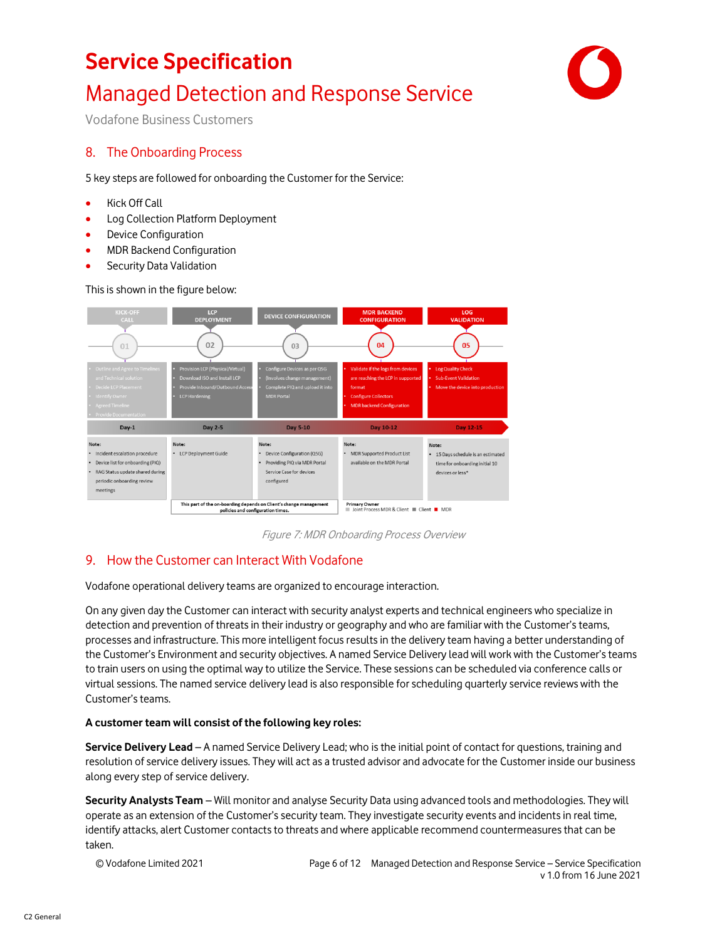## Managed Detection and Response Service



Vodafone Business Customers

### 8. The Onboarding Process

5 key steps are followed for onboarding the Customer for the Service:

- Kick Off Call
- Log Collection Platform Deployment
- Device Configuration
- MDR Backend Configuration
- Security Data Validation

This is shown in the figure below:



Figure 7: MDR Onboarding Process Overview

### 9. How the Customer can Interact With Vodafone

Vodafone operational delivery teams are organized to encourage interaction.

On any given day the Customer can interact with security analyst experts and technical engineers who specialize in detection and prevention of threats in their industry or geography and who are familiar with the Customer's teams, processes and infrastructure. This more intelligent focus results in the delivery team having a better understanding of the Customer's Environment and security objectives. A named Service Delivery lead will work with the Customer's teams to train users on using the optimal way to utilize the Service. These sessions can be scheduled via conference calls or virtual sessions. The named service delivery lead is also responsible for scheduling quarterly service reviews with the Customer'steams.

#### **A customer team will consist of the following key roles:**

**Service Delivery Lead** – A named Service Delivery Lead; who is the initial point of contact for questions, training and resolution of service delivery issues. They will act as a trusted advisor and advocate for the Customer inside our business along every step of service delivery.

**Security Analysts Team** – Will monitor and analyse Security Data using advanced tools and methodologies. They will operate as an extension of the Customer's security team. They investigate security events and incidents in real time, identify attacks, alert Customer contacts to threats and where applicable recommend countermeasures that can be taken.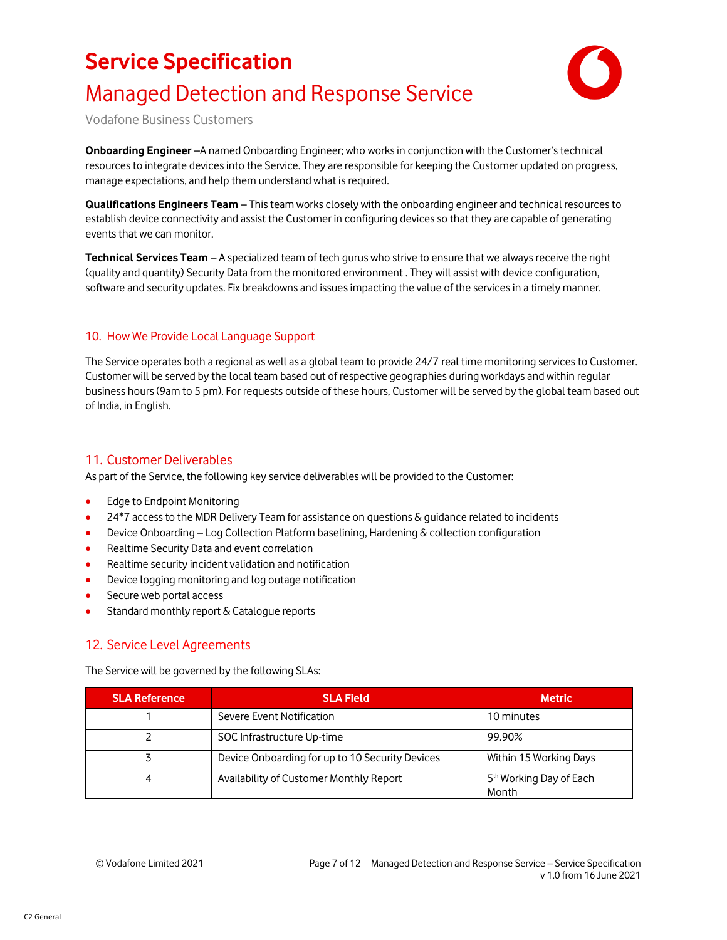

## Managed Detection and Response Service

Vodafone Business Customers

**Onboarding Engineer** –A named Onboarding Engineer; who works in conjunction with the Customer's technical resources to integrate devices into the Service. They are responsible for keeping the Customer updated on progress, manage expectations, and help them understand what is required.

**Qualifications Engineers Team** – This team works closely with the onboarding engineer and technical resources to establish device connectivity and assist the Customer in configuring devices so that they are capable of generating events that we can monitor.

**Technical Services Team** – A specialized team of tech gurus who strive to ensure that we always receive the right (quality and quantity) Security Data from the monitored environment . They will assist with device configuration, software and security updates. Fix breakdowns and issues impacting the value of the services in a timely manner.

#### 10. How We Provide Local Language Support

The Service operates both a regional as well as a global team to provide 24/7 real time monitoring services to Customer. Customer will be served by the local team based out of respective geographies during workdays and within regular business hours (9am to 5 pm). For requests outside of these hours, Customer will be served by the global team based out of India, in English.

### 11. Customer Deliverables

As part of the Service, the following key service deliverables will be provided to the Customer:

- Edge to Endpoint Monitoring
- 24\*7 access to the MDR Delivery Team for assistance on questions & guidance related to incidents
- Device Onboarding Log Collection Platform baselining, Hardening & collection configuration
- Realtime Security Data and event correlation
- Realtime security incident validation and notification
- Device logging monitoring and log outage notification
- Secure web portal access
- Standard monthly report & Catalogue reports

#### 12. Service Level Agreements

The Service will be governed by the following SLAs:

| <b>SLA Reference</b> | <b>SLA Field</b>                                | <b>Metric</b>                                |
|----------------------|-------------------------------------------------|----------------------------------------------|
|                      | Severe Event Notification                       | 10 minutes                                   |
|                      | SOC Infrastructure Up-time                      | 99.90%                                       |
|                      | Device Onboarding for up to 10 Security Devices | Within 15 Working Days                       |
| 4                    | Availability of Customer Monthly Report         | 5 <sup>th</sup> Working Day of Each<br>Month |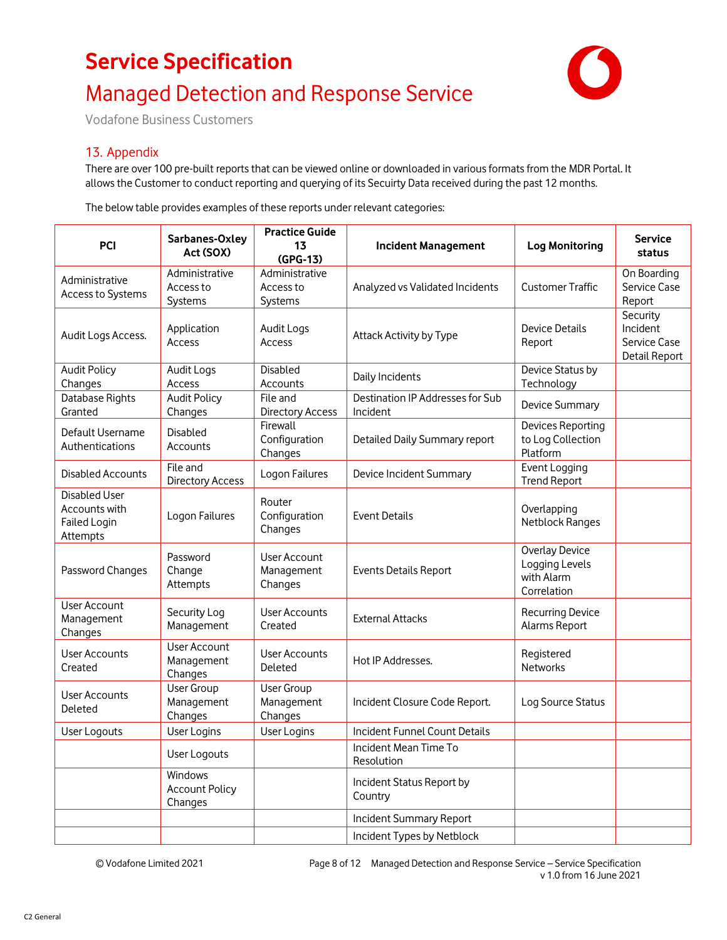## Managed Detection and Response Service



Vodafone Business Customers

#### 13. Appendix

There are over 100 pre-built reports that can be viewed online or downloaded in various formats from the MDR Portal. It allows the Customer to conduct reporting and querying of its Secuirty Data received during the past 12 months.

The below table provides examples of these reports under relevant categories:

| Sarbanes-Oxley<br><b>PCI</b><br>Act (SOX)                                                                     |                                                                                                                       | <b>Practice Guide</b><br>13<br>(GPG-13)      | <b>Incident Management</b>                         | <b>Log Monitoring</b>                                         | <b>Service</b><br>status                              |
|---------------------------------------------------------------------------------------------------------------|-----------------------------------------------------------------------------------------------------------------------|----------------------------------------------|----------------------------------------------------|---------------------------------------------------------------|-------------------------------------------------------|
| Administrative<br>Access to Systems                                                                           | Administrative<br>Access to<br>Systems                                                                                |                                              | Analyzed vs Validated Incidents                    | <b>Customer Traffic</b>                                       | On Boarding<br>Service Case<br>Report                 |
| Audit Logs Access.                                                                                            | Application<br>Access                                                                                                 | Audit Logs<br>Access                         | Attack Activity by Type                            | Device Details<br>Report                                      | Security<br>Incident<br>Service Case<br>Detail Report |
| <b>Audit Policy</b><br>Changes                                                                                | <b>Disabled</b><br><b>Audit Logs</b><br>Daily Incidents<br>Access<br>Accounts                                         |                                              | Device Status by<br>Technology                     |                                                               |                                                       |
| Database Rights<br>Granted                                                                                    | <b>Audit Policy</b><br>File and<br>Destination IP Addresses for Sub<br>Changes<br><b>Directory Access</b><br>Incident |                                              | Device Summary                                     |                                                               |                                                       |
| Default Username<br>Authentications                                                                           | Firewall<br><b>Disabled</b><br>Configuration<br>Detailed Daily Summary report<br><b>Accounts</b><br>Changes           |                                              | Devices Reporting<br>to Log Collection<br>Platform |                                                               |                                                       |
| <b>Disabled Accounts</b>                                                                                      | File and<br><b>Directory Access</b>                                                                                   | Logon Failures                               | Device Incident Summary                            | Event Logging<br><b>Trend Report</b>                          |                                                       |
| <b>Disabled User</b><br>Accounts with<br>Failed Login<br>Attempts                                             | Logon Failures                                                                                                        | Router<br>Configuration<br>Changes           | <b>Event Details</b>                               | Overlapping<br>Netblock Ranges                                |                                                       |
| Password Changes                                                                                              | Password<br>Change<br>Attempts                                                                                        | <b>User Account</b><br>Management<br>Changes | <b>Events Details Report</b>                       | Overlay Device<br>Logging Levels<br>with Alarm<br>Correlation |                                                       |
| User Account<br>Management<br>Changes                                                                         | Security Log<br>Management                                                                                            | User Accounts<br>Created                     | <b>External Attacks</b>                            | <b>Recurring Device</b><br>Alarms Report                      |                                                       |
| <b>User Accounts</b><br>Created                                                                               | User Account<br>Management<br>Changes                                                                                 | <b>User Accounts</b><br>Deleted              | Hot IP Addresses.                                  | Registered<br><b>Networks</b>                                 |                                                       |
| User Group<br><b>User Group</b><br>User Accounts<br>Management<br>Management<br>Deleted<br>Changes<br>Changes |                                                                                                                       | Incident Closure Code Report.                | Log Source Status                                  |                                                               |                                                       |
| User Logouts                                                                                                  | User Logins<br><b>Incident Funnel Count Details</b><br>User Logins                                                    |                                              |                                                    |                                                               |                                                       |
|                                                                                                               | User Logouts                                                                                                          |                                              | Incident Mean Time To<br>Resolution                |                                                               |                                                       |
|                                                                                                               | Windows<br><b>Account Policy</b><br>Changes                                                                           |                                              | Incident Status Report by<br>Country               |                                                               |                                                       |
|                                                                                                               |                                                                                                                       |                                              | Incident Summary Report                            |                                                               |                                                       |
|                                                                                                               |                                                                                                                       |                                              | Incident Types by Netblock                         |                                                               |                                                       |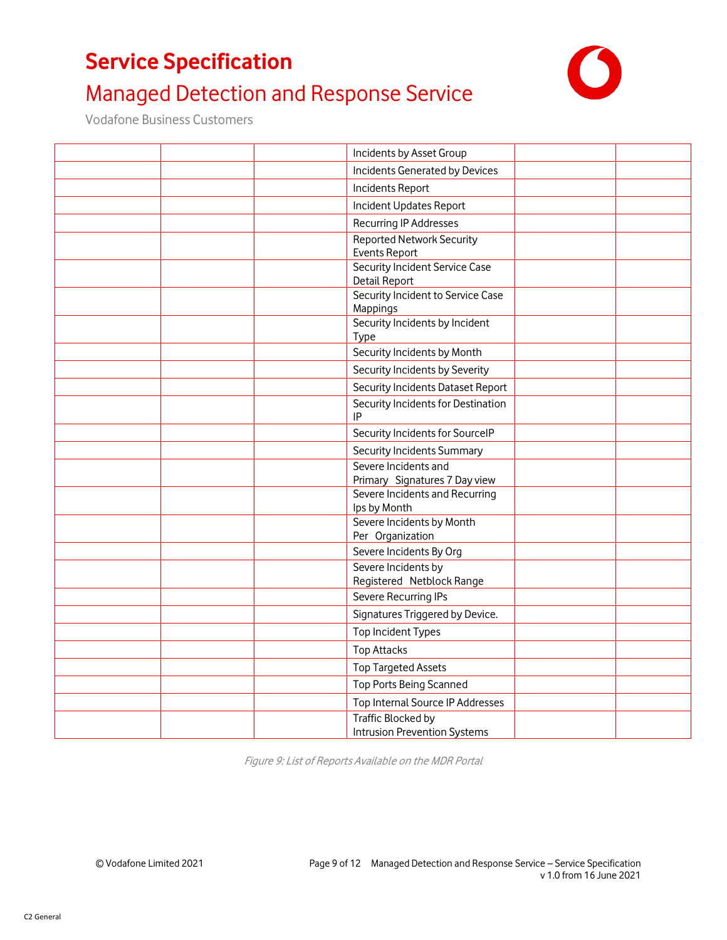## Managed Detection and Response Service

Vodafone Business Customers

| Incidents by Asset Group                                  |  |
|-----------------------------------------------------------|--|
| Incidents Generated by Devices                            |  |
| Incidents Report                                          |  |
| Incident Updates Report                                   |  |
| Recurring IP Addresses                                    |  |
| <b>Reported Network Security</b>                          |  |
| <b>Events Report</b>                                      |  |
| Security Incident Service Case<br>Detail Report           |  |
| Security Incident to Service Case                         |  |
| Mappings                                                  |  |
| Security Incidents by Incident<br>Type                    |  |
| Security Incidents by Month                               |  |
| Security Incidents by Severity                            |  |
| Security Incidents Dataset Report                         |  |
| Security Incidents for Destination<br>IP                  |  |
| Security Incidents for SourceIP                           |  |
| Security Incidents Summary                                |  |
| Severe Incidents and<br>Primary Signatures 7 Day view     |  |
| Severe Incidents and Recurring<br>Ips by Month            |  |
| Severe Incidents by Month<br>Per Organization             |  |
| Severe Incidents By Org                                   |  |
| Severe Incidents by<br>Registered Netblock Range          |  |
| Severe Recurring IPs                                      |  |
| Signatures Triggered by Device.                           |  |
| Top Incident Types                                        |  |
| <b>Top Attacks</b>                                        |  |
| <b>Top Targeted Assets</b>                                |  |
| Top Ports Being Scanned                                   |  |
| Top Internal Source IP Addresses                          |  |
| Traffic Blocked by<br><b>Intrusion Prevention Systems</b> |  |

Figure 9: List of Reports Available on the MDR Portal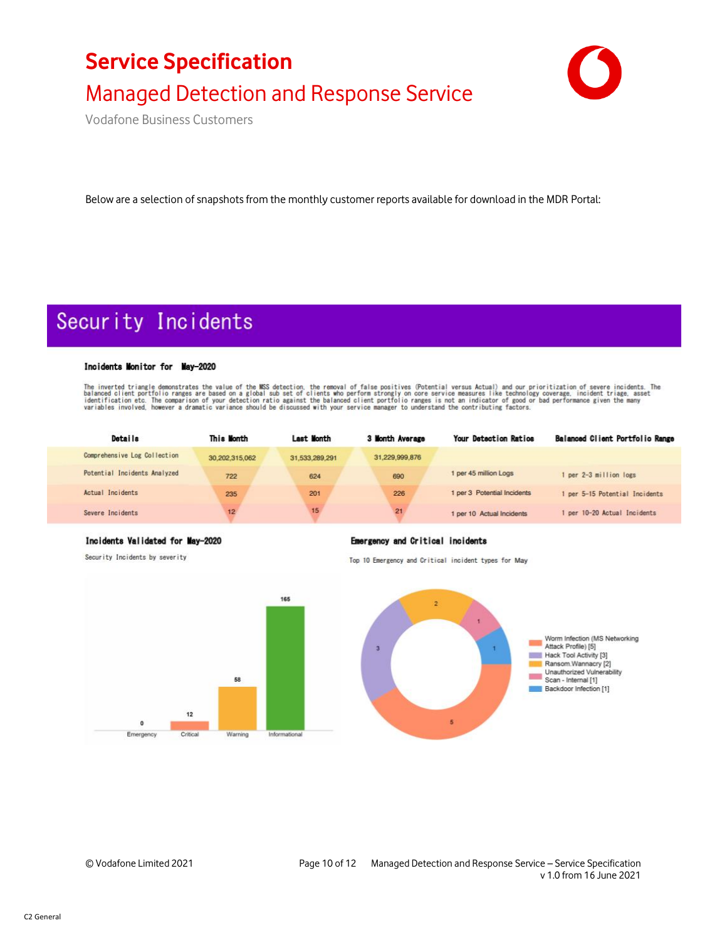



Vodafone Business Customers

Below are a selection of snapshots from the monthly customer reports available for download in the MDR Portal:

## Security Incidents

#### Incidents Monitor for May-2020

The inverted triangle demonstrates the value of the MSS detection, the removal of false positives (Potential versus Actual) and our prioritization of severe incidents. The balanced client portfolio ranges are based on a gl

| <b>Details</b>               | This Month      | Last Month     | 3 Month Average | Your Detection Ratios       | Balanced Client Portfolio Range |
|------------------------------|-----------------|----------------|-----------------|-----------------------------|---------------------------------|
| Comprehensive Log Collection | 30.202.315.062  | 31.533.289.291 | 31,229,999,876  |                             |                                 |
| Potential Incidents Analyzed | 722             | 624            | 690             | 1 per 45 million Logs       | per 2-3 million logs            |
| Actual Incidents             | 235             | 201            | 226             | 1 per 3 Potential Incidents | per 5-15 Potential Incidents    |
| Severe Incidents             | 12 <sup>5</sup> | 15             | 21              | 1 per 10 Actual Incidents   | per 10-20 Actual Incidents      |

#### Incidents Validated for May-2020

Security Incidents by severity

#### **Emergency and Critical incidents**

Top 10 Emergency and Critical incident types for May

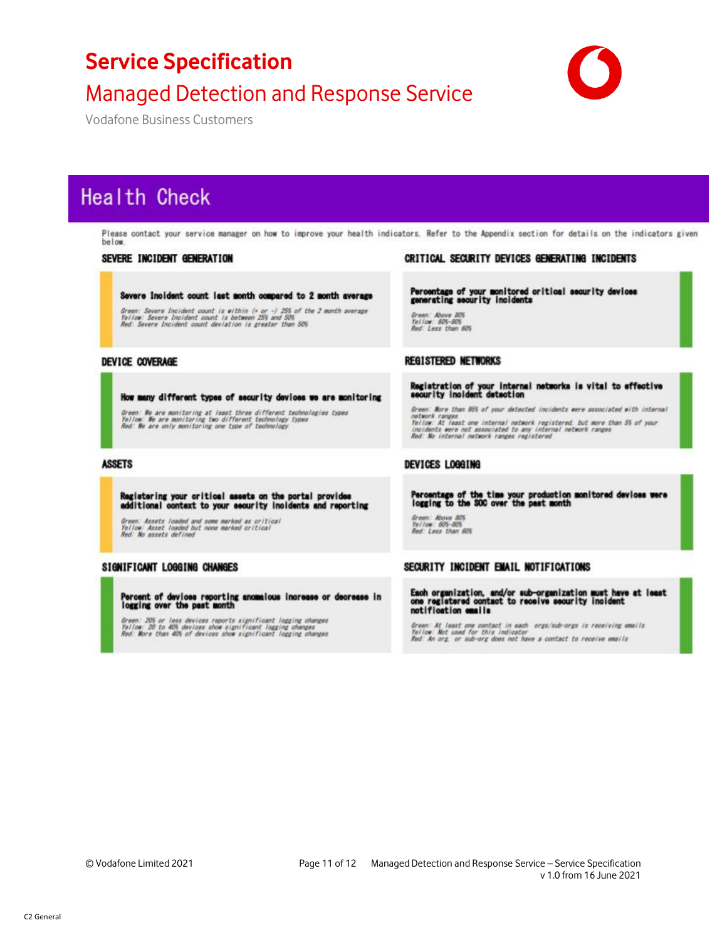### Managed Detection and Response Service

Vodafone Business Customers

## **Health Check**

Please contact your service manager on how to improve your health indicators. Refer to the Appendix section for details on the indicators given below.

#### SEVERE INCIDENT GENERATION

#### Severe Incident count last month compared to 2 month average

Green: Severe Incident count is within (+ or -) 255 of the 2 month average<br>Yellow: Severe Incident count is between 25% and 50%<br>Red: Severe Incident count deviation is greater than 50%

#### DEVICE COVERAGE

#### How many different types of security devices we are monitoring

Green: We are monitoring at least three different technologies types<br>Yellow: We are monitoring two different technology types<br>Red: We are only monitoring one type of technology

#### **ASSETS**

Registering your critical assets on the portal provides<br>additional context to your security incidents and reporting

Green: Assets loaded and some marked as oritical<br>Yellow: Asset loaded but none marked critical<br>Red: No assets defined

#### SIGNIFICANT LOGGING CHANGES

Percent of devices reporting anomalous increase or decrease in<br>logging over the past month

Green: 20% or less devices reports significant logging changes<br>Yellow: 20 to 40% devices show significant logging changes<br>Red: More than 40% of devices show significant logging changes

#### CRITICAL SECURITY DEVICES GENERATING INCIDENTS

Percentage of your monitored critical security devices<br>generating security incidents

Green: Above 80%<br>Yellow: 60%-80%<br>Red: Less than 60%

#### **REGISTERED NETWORKS**

Registration of your internal networks is vital to effective<br>security incident detection

Green: More than 95% of your detected incidents were associated with internal network ranges<br>Yellow: At least one internal network registered, but more than 5% of your<br>incidents were not associated to any internal network ranges<br>Red: No internal network ranges registered

#### DEVICES LOGGING

Percentage of the time your production monitored devices were<br>logging to the SOC over the past month

Green: Above 805<br>Yellow: 605-805 Red: Leas than 605

#### SECURITY INCIDENT EMAIL NOTIFICATIONS

Each organization, and/or sub-organization must have at least<br>one registered contact to receive security incident<br>notification emails

Green: At least one contact in each- orgs/sub-orgs is receiving emails<br>Yellow: Not used for this indicator<br>Red: An org. or sub-org does not have a contact to receive emails